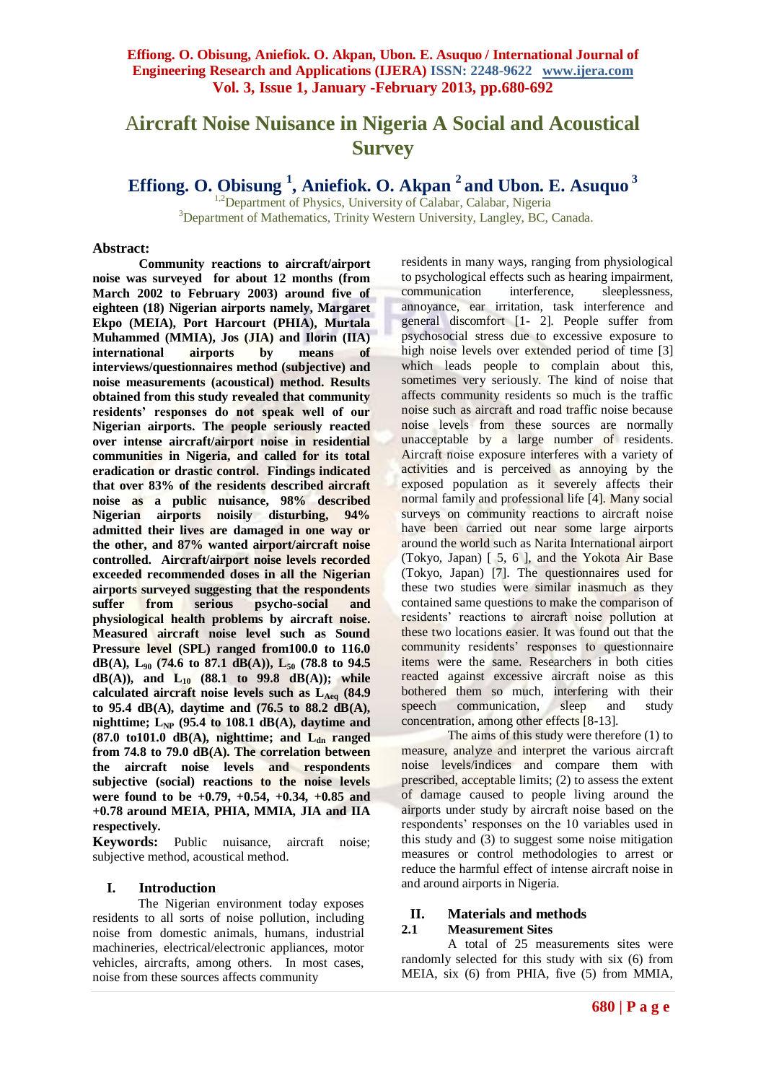# A**ircraft Noise Nuisance in Nigeria A Social and Acoustical Survey**

**Effiong. O. Obisung <sup>1</sup> , Aniefiok. O. Akpan <sup>2</sup>and Ubon. E. Asuquo <sup>3</sup>**

 $1,2$ Department of Physics, University of Calabar, Calabar, Nigeria <sup>3</sup>Department of Mathematics, Trinity Western University, Langley, BC, Canada.

#### **Abstract:**

**Community reactions to aircraft/airport noise was surveyed for about 12 months (from March 2002 to February 2003) around five of eighteen (18) Nigerian airports namely, Margaret Ekpo (MEIA), Port Harcourt (PHIA), Murtala Muhammed (MMIA), Jos (JIA) and Ilorin (IIA) international airports by means of interviews/questionnaires method (subjective) and noise measurements (acoustical) method. Results obtained from this study revealed that community residents' responses do not speak well of our Nigerian airports. The people seriously reacted over intense aircraft/airport noise in residential communities in Nigeria, and called for its total eradication or drastic control. Findings indicated that over 83% of the residents described aircraft noise as a public nuisance, 98% described Nigerian airports noisily disturbing, 94% admitted their lives are damaged in one way or the other, and 87% wanted airport/aircraft noise controlled. Aircraft/airport noise levels recorded exceeded recommended doses in all the Nigerian airports surveyed suggesting that the respondents suffer from serious psycho-social and physiological health problems by aircraft noise. Measured aircraft noise level such as Sound Pressure level (SPL) ranged from100.0 to 116.0 dB(A), L<sup>90</sup> (74.6 to 87.1 dB(A)), L<sup>50</sup> (78.8 to 94.5 dB(A)), and L<sup>10</sup> (88.1 to 99.8 dB(A)); while**  calculated aircraft noise levels such as L<sub>Aeq</sub> (84.9) **to 95.4 dB(A), daytime and (76.5 to 88.2 dB(A), nighttime; LNP (95.4 to 108.1 dB(A), daytime and (87.0 to101.0 dB(A), nighttime; and Ldn ranged from 74.8 to 79.0 dB(A). The correlation between the aircraft noise levels and respondents subjective (social) reactions to the noise levels were found to be +0.79, +0.54, +0.34, +0.85 and +0.78 around MEIA, PHIA, MMIA, JIA and IIA respectively.**

**Keywords:** Public nuisance, aircraft noise; subjective method, acoustical method.

#### **I. Introduction**

The Nigerian environment today exposes residents to all sorts of noise pollution, including noise from domestic animals, humans, industrial machineries, electrical/electronic appliances, motor vehicles, aircrafts, among others. In most cases, noise from these sources affects community

residents in many ways, ranging from physiological to psychological effects such as hearing impairment, communication interference, sleeplessness, annoyance, ear irritation, task interference and general discomfort [1- 2]. People suffer from psychosocial stress due to excessive exposure to high noise levels over extended period of time [3] which leads people to complain about this, sometimes very seriously. The kind of noise that affects community residents so much is the traffic noise such as aircraft and road traffic noise because noise levels from these sources are normally unacceptable by a large number of residents. Aircraft noise exposure interferes with a variety of activities and is perceived as annoying by the exposed population as it severely affects their normal family and professional life [4]. Many social surveys on community reactions to aircraft noise have been carried out near some large airports around the world such as Narita International airport (Tokyo, Japan) [ 5, 6 ], and the Yokota Air Base (Tokyo, Japan) [7]. The questionnaires used for these two studies were similar inasmuch as they contained same questions to make the comparison of residents' reactions to aircraft noise pollution at these two locations easier. It was found out that the community residents' responses to questionnaire items were the same. Researchers in both cities reacted against excessive aircraft noise as this bothered them so much, interfering with their speech communication, sleep and study concentration, among other effects [8-13].

The aims of this study were therefore (1) to measure, analyze and interpret the various aircraft noise levels/indices and compare them with prescribed, acceptable limits; (2) to assess the extent of damage caused to people living around the airports under study by aircraft noise based on the respondents' responses on the 10 variables used in this study and (3) to suggest some noise mitigation measures or control methodologies to arrest or reduce the harmful effect of intense aircraft noise in and around airports in Nigeria.

#### **II. Materials and methods**

#### **2.1 Measurement Sites**

A total of 25 measurements sites were randomly selected for this study with six (6) from MEIA, six (6) from PHIA, five (5) from MMIA,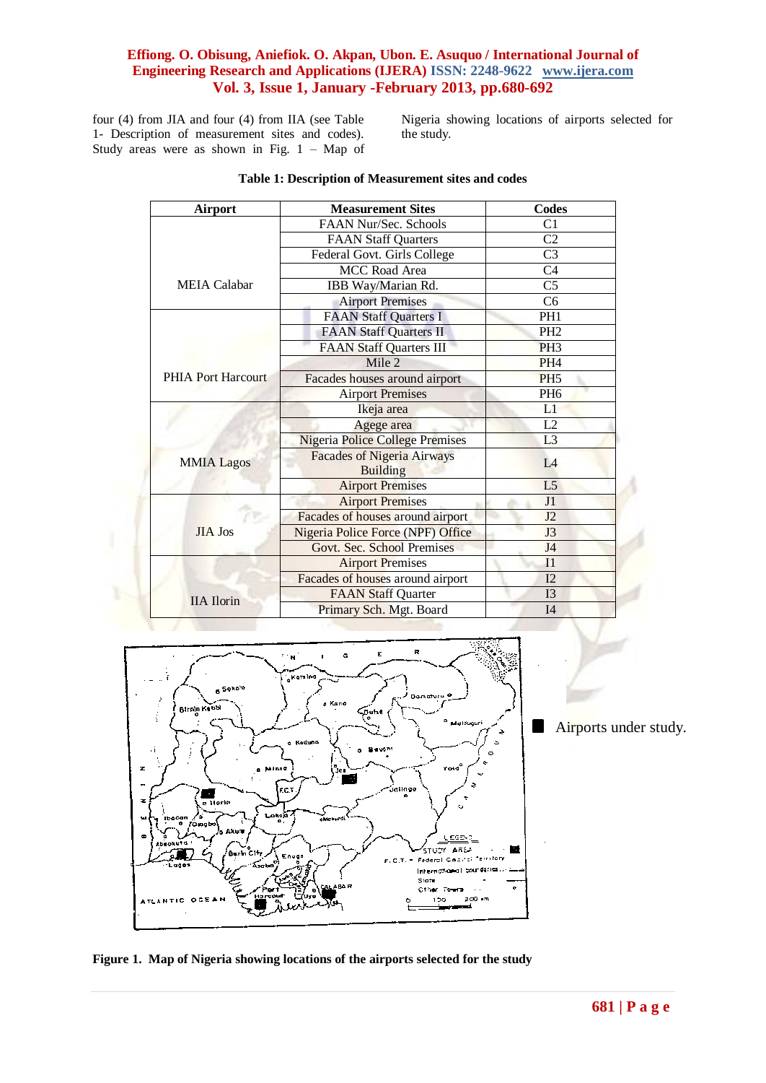four (4) from JIA and four (4) from IIA (see Table 1- Description of measurement sites and codes). Study areas were as shown in Fig.  $1 - Map$  of Nigeria showing locations of airports selected for the study.

| <b>Airport</b>            | <b>Measurement Sites</b>                             | <b>Codes</b>           |
|---------------------------|------------------------------------------------------|------------------------|
|                           | FAAN Nur/Sec. Schools                                | C1                     |
|                           | <b>FAAN Staff Quarters</b>                           | C <sub>2</sub>         |
|                           | Federal Govt. Girls College                          | C <sub>3</sub>         |
|                           | MCC Road Area                                        | C <sub>4</sub>         |
| <b>MEIA</b> Calabar       | IBB Way/Marian Rd.                                   | $\overline{\text{C5}}$ |
|                           | <b>Airport Premises</b>                              | C <sub>6</sub>         |
|                           | <b>FAAN Staff Quarters I</b>                         | PH <sub>1</sub>        |
|                           | <b>FAAN Staff Quarters II</b>                        | PH <sub>2</sub>        |
|                           | <b>FAAN Staff Quarters III</b>                       | PH <sub>3</sub>        |
|                           | Mile 2                                               | PH <sub>4</sub>        |
| <b>PHIA Port Harcourt</b> | Facades houses around airport                        | PH <sub>5</sub>        |
|                           | <b>Airport Premises</b>                              | PH <sub>6</sub>        |
|                           | Ikeja area                                           | L1                     |
|                           | Agege area                                           | L2                     |
|                           | <b>Nigeria Police College Premises</b>               | L <sub>3</sub>         |
| <b>MMIA Lagos</b>         | <b>Facades of Nigeria Airways</b><br><b>Building</b> | IA                     |
|                           | <b>Airport Premises</b>                              | L <sub>5</sub>         |
|                           | <b>Airport Premises</b>                              | J1                     |
|                           | Facades of houses around airport                     | J2                     |
| <b>JIA Jos</b>            | Nigeria Police Force (NPF) Office                    | J3                     |
|                           | Govt. Sec. School Premises                           | J <sub>4</sub>         |
|                           | <b>Airport Premises</b>                              | I <sub>1</sub>         |
|                           | Facades of houses around airport                     | I2                     |
| <b>IIA</b> Ilorin         | <b>FAAN Staff Quarter</b>                            | I <sub>3</sub>         |
|                           | Primary Sch. Mgt. Board                              | I <sub>4</sub>         |

#### **Table 1: Description of Measurement sites and codes**



Airports under study.

**Figure 1. Map of Nigeria showing locations of the airports selected for the study**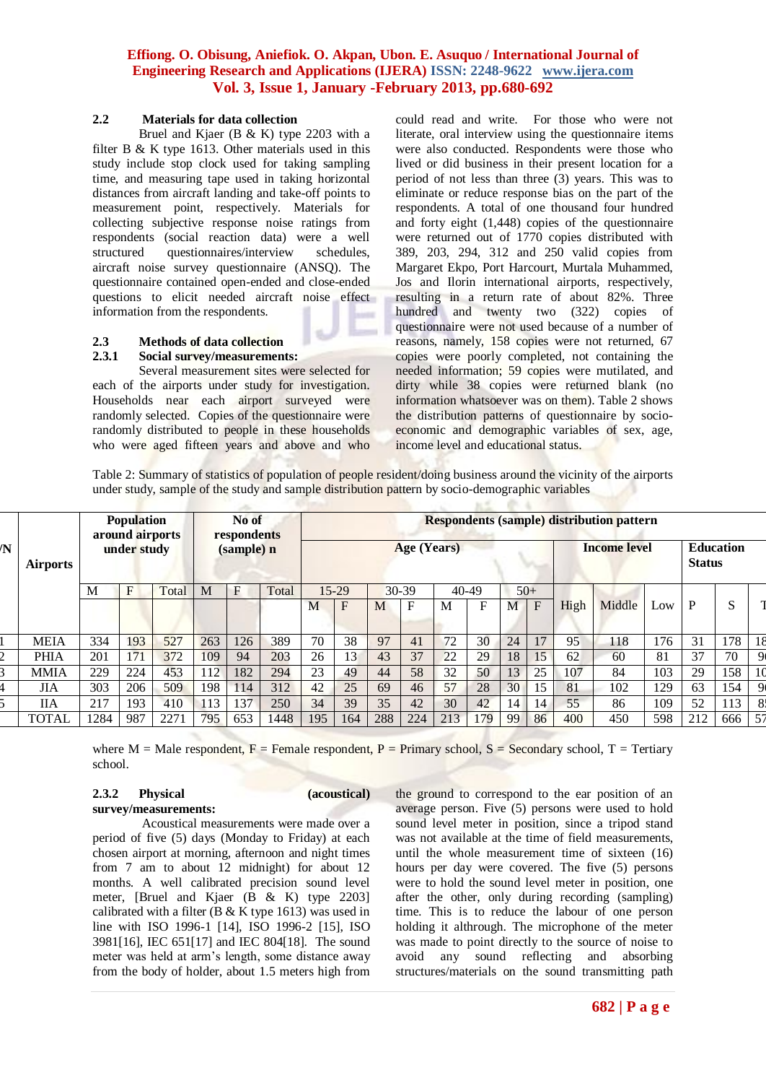#### **2.2 Materials for data collection**

Bruel and Kjaer (B & K) type 2203 with a filter B & K type 1613. Other materials used in this study include stop clock used for taking sampling time, and measuring tape used in taking horizontal distances from aircraft landing and take-off points to measurement point, respectively. Materials for collecting subjective response noise ratings from respondents (social reaction data) were a well structured questionnaires/interview schedules, aircraft noise survey questionnaire (ANSQ). The questionnaire contained open-ended and close-ended questions to elicit needed aircraft noise effect information from the respondents.

#### **2.3 Methods of data collection**

#### **2.3.1 Social survey/measurements:**

Several measurement sites were selected for each of the airports under study for investigation. Households near each airport surveyed were randomly selected. Copies of the questionnaire were randomly distributed to people in these households who were aged fifteen years and above and who could read and write. For those who were not literate, oral interview using the questionnaire items were also conducted. Respondents were those who lived or did business in their present location for a period of not less than three (3) years. This was to eliminate or reduce response bias on the part of the respondents. A total of one thousand four hundred and forty eight (1,448) copies of the questionnaire were returned out of 1770 copies distributed with 389, 203, 294, 312 and 250 valid copies from Margaret Ekpo, Port Harcourt, Murtala Muhammed, Jos and Ilorin international airports, respectively, resulting in a return rate of about 82%. Three hundred and twenty two (322) copies of questionnaire were not used because of a number of reasons, namely, 158 copies were not returned, 67 copies were poorly completed, not containing the needed information; 59 copies were mutilated, and dirty while 38 copies were returned blank (no information whatsoever was on them). Table 2 shows the distribution patterns of questionnaire by socioeconomic and demographic variables of sex, age, income level and educational status.

Table 2: Summary of statistics of population of people resident/doing business around the vicinity of the airports under study, sample of the study and sample distribution pattern by socio-demographic variables

| $\overline{\mathbf{N}}$ |                 | <b>Population</b><br>around airports |     | No of<br>respondents |     |              | <b>Respondents (sample) distribution pattern</b> |     |       |     |       |           |                     |    |                           |                            |        |     |     |     |                |
|-------------------------|-----------------|--------------------------------------|-----|----------------------|-----|--------------|--------------------------------------------------|-----|-------|-----|-------|-----------|---------------------|----|---------------------------|----------------------------|--------|-----|-----|-----|----------------|
|                         | <b>Airports</b> | (sample) n<br>under study            |     |                      |     |              | <b>Age (Years)</b>                               |     |       |     |       |           | <b>Income level</b> |    |                           | Education<br><b>Status</b> |        |     |     |     |                |
|                         |                 | M                                    | F   | Total                | M   | $\mathbf{F}$ | Total                                            |     | 15-29 |     | 30-39 | $40 - 49$ |                     |    | $50+$                     |                            |        |     |     |     |                |
|                         |                 |                                      |     |                      |     |              |                                                  | M   | F     | M   | F     | M         | F                   | М  | $\boldsymbol{\mathrm{F}}$ | High                       | Middle | Low | P   | S   |                |
|                         | <b>MEIA</b>     | 334                                  | 193 | 527                  | 263 | 126          | 389                                              | 70  | 38    | 97  | 41    | 72        | 30                  | 24 | 17                        | 95                         | 118    | 176 | 31  | 178 | 18             |
|                         | <b>PHIA</b>     | 201                                  | 171 | 372                  | 109 | 94           | 203                                              | 26  | 13    | 43  | 37    | 22        | 29                  | 18 | 15                        | 62                         | 60     | 81  | 37  | 70  | 9              |
|                         | <b>MMIA</b>     | 229                                  | 224 | 453                  | 112 | 182          | 294                                              | 23  | 49    | 44  | 58    | 32        | 50                  | 13 | 25                        | 107                        | 84     | 103 | 29  | 158 | 10             |
|                         | <b>JIA</b>      | 303                                  | 206 | 509                  | 198 | 114          | 312                                              | 42  | 25    | 69  | 46    | 57        | 28                  | 30 | 15                        | 81                         | 102    | 129 | 63  | 154 | $Q_1$          |
|                         | <b>IIA</b>      | 217                                  | 193 | 410                  | 113 | 137          | 250                                              | 34  | 39    | 35  | 42    | 30        | 42                  | 14 | 14                        | 55                         | 86     | 109 | 52  | 113 | 8 <sub>i</sub> |
|                         | TOTAL           | 1284                                 | 987 | 2271                 | 795 | 653          | 1448                                             | 195 | 164   | 288 | 224   | 213       | 79                  | 99 | 86                        | 400                        | 450    | 598 | 212 | 666 | 57             |

where M = Male respondent, F = Female respondent, P = Primary school, S = Secondary school, T = Tertiary school.

### **2.3.2 Physical (acoustical)**

**survey/measurements:**

Acoustical measurements were made over a period of five (5) days (Monday to Friday) at each chosen airport at morning, afternoon and night times from 7 am to about 12 midnight) for about 12 months. A well calibrated precision sound level meter, [Bruel and Kjaer (B & K) type 2203] calibrated with a filter (B & K type 1613) was used in line with ISO 1996-1 [14], ISO 1996-2 [15], ISO 3981[16], IEC 651[17] and IEC 804[18]. The sound meter was held at arm's length, some distance away from the body of holder, about 1.5 meters high from the ground to correspond to the ear position of an average person. Five (5) persons were used to hold sound level meter in position, since a tripod stand was not available at the time of field measurements, until the whole measurement time of sixteen (16) hours per day were covered. The five (5) persons were to hold the sound level meter in position, one after the other, only during recording (sampling) time. This is to reduce the labour of one person holding it althrough. The microphone of the meter was made to point directly to the source of noise to avoid any sound reflecting and absorbing structures/materials on the sound transmitting path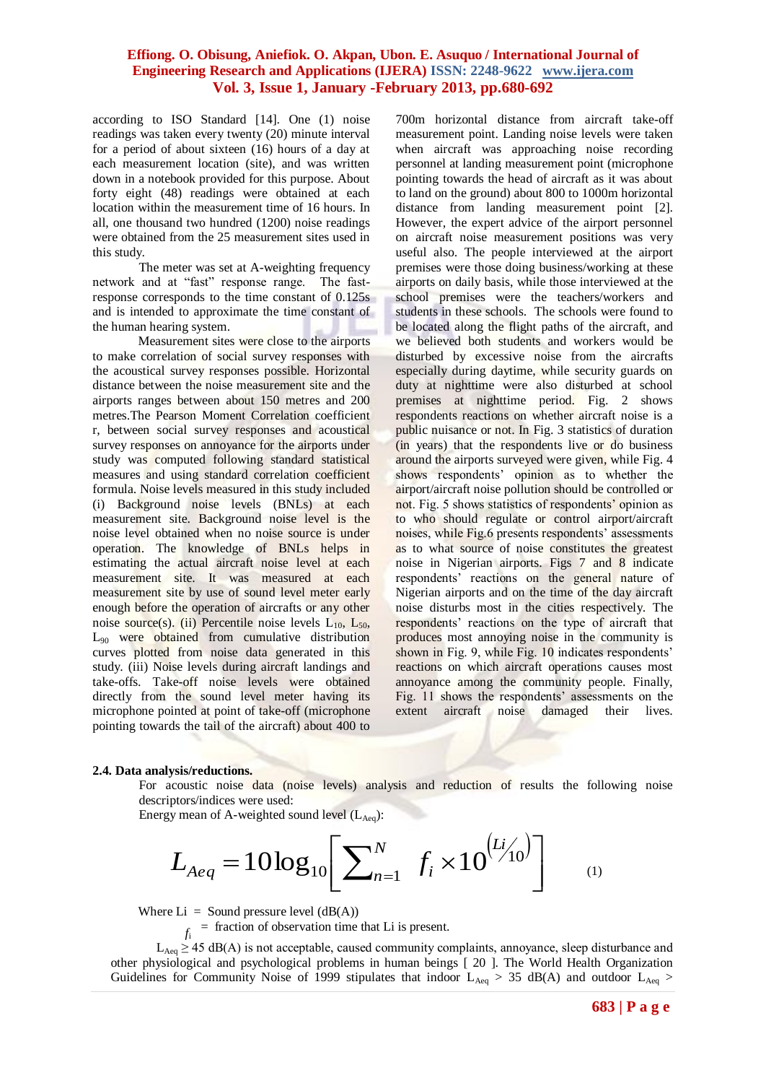according to ISO Standard [14]. One (1) noise readings was taken every twenty (20) minute interval for a period of about sixteen (16) hours of a day at each measurement location (site), and was written down in a notebook provided for this purpose. About forty eight (48) readings were obtained at each location within the measurement time of 16 hours. In all, one thousand two hundred (1200) noise readings were obtained from the 25 measurement sites used in this study.

The meter was set at A-weighting frequency network and at "fast" response range. The fastresponse corresponds to the time constant of 0.125s and is intended to approximate the time constant of the human hearing system.

Measurement sites were close to the airports to make correlation of social survey responses with the acoustical survey responses possible. Horizontal distance between the noise measurement site and the airports ranges between about 150 metres and 200 metres.The Pearson Moment Correlation coefficient r, between social survey responses and acoustical survey responses on annoyance for the airports under study was computed following standard statistical measures and using standard correlation coefficient formula. Noise levels measured in this study included (i) Background noise levels (BNLs) at each measurement site. Background noise level is the noise level obtained when no noise source is under operation. The knowledge of BNLs helps in estimating the actual aircraft noise level at each measurement site. It was measured at each measurement site by use of sound level meter early enough before the operation of aircrafts or any other noise source(s). (ii) Percentile noise levels  $L_{10}$ ,  $L_{50}$ , L<sup>90</sup> were obtained from cumulative distribution curves plotted from noise data generated in this study. (iii) Noise levels during aircraft landings and take-offs. Take-off noise levels were obtained directly from the sound level meter having its microphone pointed at point of take-off (microphone pointing towards the tail of the aircraft) about 400 to

700m horizontal distance from aircraft take-off measurement point. Landing noise levels were taken when aircraft was approaching noise recording personnel at landing measurement point (microphone pointing towards the head of aircraft as it was about to land on the ground) about 800 to 1000m horizontal distance from landing measurement point [2]. However, the expert advice of the airport personnel on aircraft noise measurement positions was very useful also. The people interviewed at the airport premises were those doing business/working at these airports on daily basis, while those interviewed at the school premises were the teachers/workers and students in these schools. The schools were found to be located along the flight paths of the aircraft, and we believed both students and workers would be disturbed by excessive noise from the aircrafts especially during daytime, while security guards on duty at nighttime were also disturbed at school premises at nighttime period. Fig. 2 shows respondents reactions on whether aircraft noise is a public nuisance or not. In Fig. 3 statistics of duration (in years) that the respondents live or do business around the airports surveyed were given, while Fig. 4 shows respondents' opinion as to whether the airport/aircraft noise pollution should be controlled or not. Fig. 5 shows statistics of respondents' opinion as to who should regulate or control airport/aircraft noises, while Fig.6 presents respondents' assessments as to what source of noise constitutes the greatest noise in Nigerian airports. Figs 7 and 8 indicate respondents' reactions on the general nature of Nigerian airports and on the time of the day aircraft noise disturbs most in the cities respectively. The respondents' reactions on the type of aircraft that produces most annoying noise in the community is shown in Fig. 9, while Fig. 10 indicates respondents' reactions on which aircraft operations causes most annoyance among the community people. Finally, Fig. 11 shows the respondents' assessments on the extent aircraft noise damaged their lives.

#### **2.4. Data analysis/reductions.**

For acoustic noise data (noise levels) analysis and reduction of results the following noise descriptors/indices were used:

Energy mean of A-weighted sound level  $(L<sub>Aea</sub>)$ :

$$
L_{Aeq} = 10\log_{10}\left[\sum_{n=1}^{N} f_i \times 10^{(L/10)}\right]
$$
 (1)

Where  $Li =$  Sound pressure level  $(dB(A))$ 

*f*i = fraction of observation time that Li is present.

 $L_{\text{Aeq}} \geq 45$  dB(A) is not acceptable, caused community complaints, annoyance, sleep disturbance and other physiological and psychological problems in human beings [ 20 ]. The World Health Organization Guidelines for Community Noise of 1999 stipulates that indoor  $L_{Aeq} > 35$  dB(A) and outdoor  $L_{Aeq} > 35$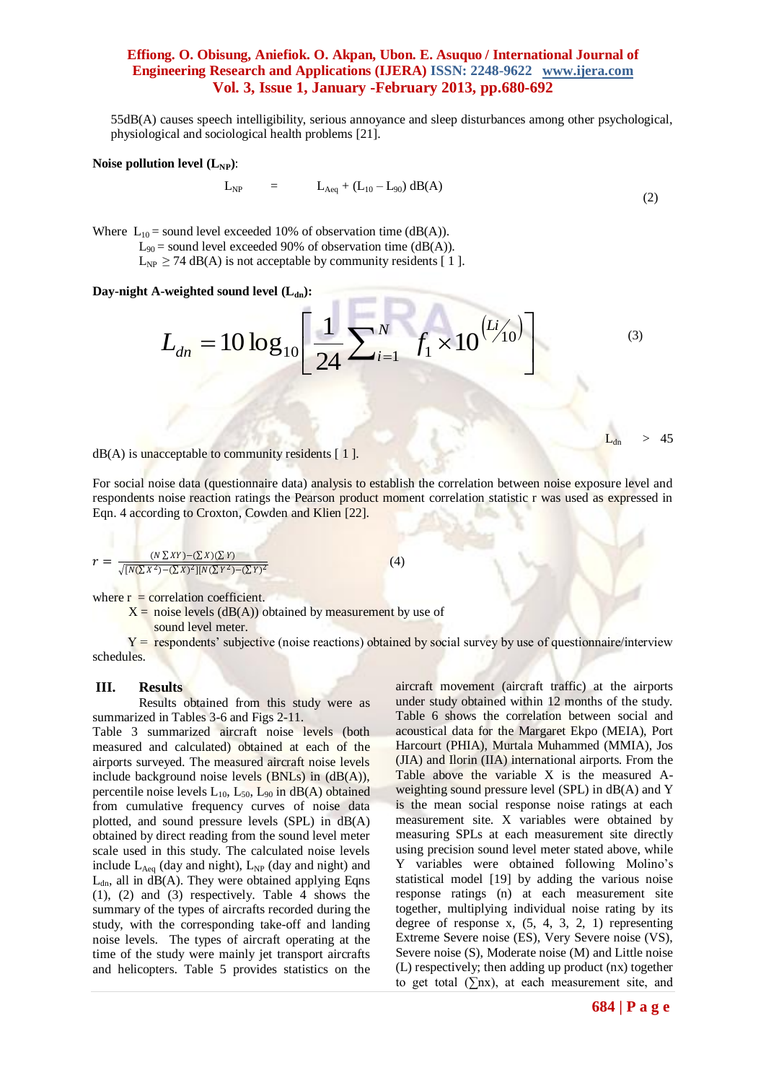55dB(A) causes speech intelligibility, serious annoyance and sleep disturbances among other psychological, physiological and sociological health problems [21].

#### **Noise pollution level**  $(L_{NP})$ **:**

$$
L_{NP} = L_{Aeq} + (L_{10} - L_{90}) \, dB(A)
$$
 (2)

Where  $L_{10}$  = sound level exceeded 10% of observation time (dB(A)).  $L_{90}$  = sound level exceeded 90% of observation time (dB(A)).  $L_{NP} \ge 74$  dB(A) is not acceptable by community residents [1].

Day-night A-weighted sound level  $(L_{dn})$ :

$$
L_{dn} = 10 \log_{10} \left[ \frac{1}{24} \sum_{i=1}^{N} f_i \times 10^{(Li/10)} \right]
$$
 (3)

a point press.

 $dB(A)$  is unacceptable to community residents  $[1]$ .

For social noise data (questionnaire data) analysis to establish the correlation between noise exposure level and respondents noise reaction ratings the Pearson product moment correlation statistic r was used as expressed in Eqn. 4 according to Croxton, Cowden and Klien [22].

$$
r = \frac{(N \sum XY) - (\sum X)(\sum Y)}{\sqrt{[N(\sum X^2) - (\sum X)^2][N(\sum Y^2) - (\sum Y)^2}}}
$$
(4)

where  $r =$  correlation coefficient.

 $X = noise$  levels  $(dB(A))$  obtained by measurement by use of

sound level meter.

 $Y =$  respondents' subjective (noise reactions) obtained by social survey by use of questionnaire/interview schedules.

#### **III. Results**

Results obtained from this study were as summarized in Tables 3-6 and Figs 2-11.

Table 3 summarized aircraft noise levels (both measured and calculated) obtained at each of the airports surveyed. The measured aircraft noise levels include background noise levels  $(BNLs)$  in  $(dB(A)),$ percentile noise levels  $L_{10}$ ,  $L_{50}$ ,  $L_{90}$  in dB(A) obtained from cumulative frequency curves of noise data plotted, and sound pressure levels (SPL) in dB(A) obtained by direct reading from the sound level meter scale used in this study. The calculated noise levels include  $L_{Aea}$  (day and night),  $L_{NP}$  (day and night) and  $L_{dn}$ , all in  $dB(A)$ . They were obtained applying Eqns (1), (2) and (3) respectively. Table 4 shows the summary of the types of aircrafts recorded during the study, with the corresponding take-off and landing noise levels. The types of aircraft operating at the time of the study were mainly jet transport aircrafts and helicopters. Table 5 provides statistics on the

aircraft movement (aircraft traffic) at the airports under study obtained within 12 months of the study. Table 6 shows the correlation between social and acoustical data for the Margaret Ekpo (MEIA), Port Harcourt (PHIA), Murtala Muhammed (MMIA), Jos (JIA) and Ilorin (IIA) international airports. From the Table above the variable X is the measured Aweighting sound pressure level (SPL) in dB(A) and Y is the mean social response noise ratings at each measurement site. X variables were obtained by measuring SPLs at each measurement site directly using precision sound level meter stated above, while Y variables were obtained following Molino's statistical model [19] by adding the various noise response ratings (n) at each measurement site together, multiplying individual noise rating by its degree of response x,  $(5, 4, 3, 2, 1)$  representing Extreme Severe noise (ES), Very Severe noise (VS), Severe noise (S), Moderate noise (M) and Little noise (L) respectively; then adding up product (nx) together to get total  $(\Sigma nx)$ , at each measurement site, and

45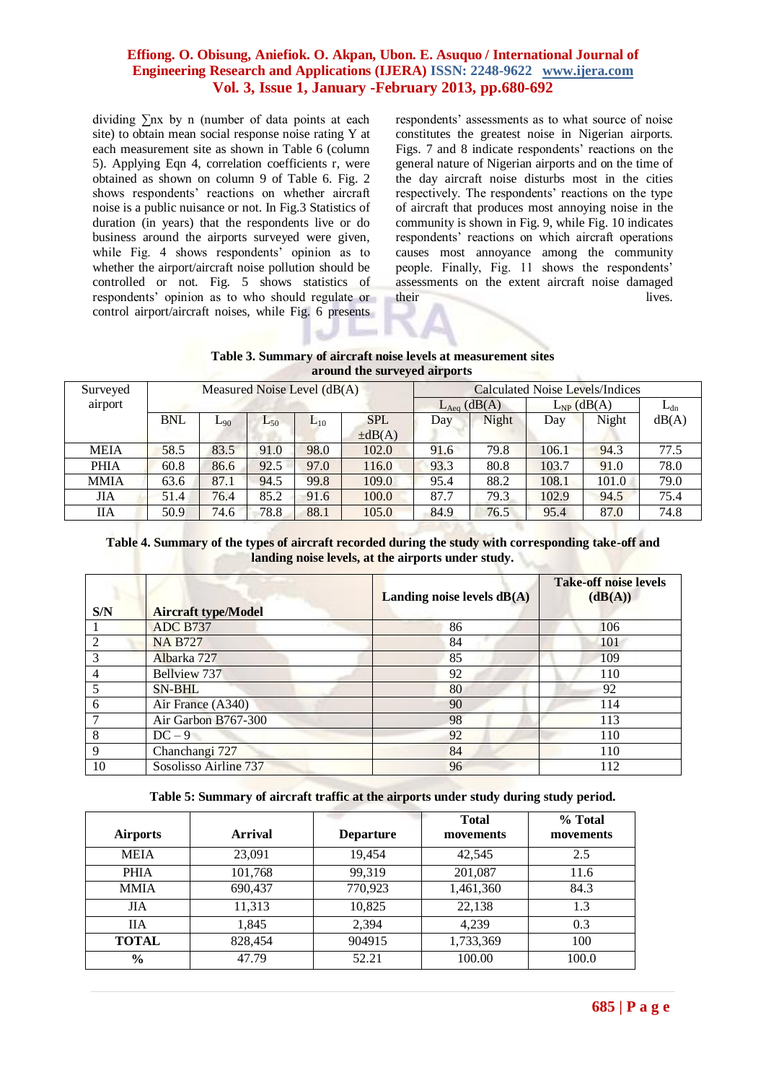dividing ∑nx by n (number of data points at each site) to obtain mean social response noise rating Y at each measurement site as shown in Table 6 (column 5). Applying Eqn 4, correlation coefficients r, were obtained as shown on column 9 of Table 6. Fig. 2 shows respondents' reactions on whether aircraft noise is a public nuisance or not. In Fig.3 Statistics of duration (in years) that the respondents live or do business around the airports surveyed were given, while Fig. 4 shows respondents' opinion as to whether the airport/aircraft noise pollution should be controlled or not. Fig. 5 shows statistics of respondents' opinion as to who should regulate or control airport/aircraft noises, while Fig. 6 presents

respondents' assessments as to what source of noise constitutes the greatest noise in Nigerian airports. Figs. 7 and 8 indicate respondents' reactions on the general nature of Nigerian airports and on the time of the day aircraft noise disturbs most in the cities respectively. The respondents' reactions on the type of aircraft that produces most annoying noise in the community is shown in Fig. 9, while Fig. 10 indicates respondents' reactions on which aircraft operations causes most annoyance among the community people. Finally, Fig. 11 shows the respondents' assessments on the extent aircraft noise damaged their lives.

**Table 3. Summary of aircraft noise levels at measurement sites around the surveyed airports**

| Surveyed    |            |          | Measured Noise Level $(dB(A))$ |          |             | Calculated Noise Levels/Indices |       |                 |       |          |  |  |
|-------------|------------|----------|--------------------------------|----------|-------------|---------------------------------|-------|-----------------|-------|----------|--|--|
| airport     |            |          |                                |          |             | $L_{Aeq}$ (dB(A)                |       | $L_{NP}$ (dB(A) |       | $L_{dn}$ |  |  |
|             | <b>BNL</b> | $L_{90}$ | $L_{50}$                       | $L_{10}$ | <b>SPL</b>  | Day                             | Night |                 | Night | dB(A)    |  |  |
|             |            |          |                                |          | $\pm dB(A)$ |                                 |       |                 |       |          |  |  |
| <b>MEIA</b> | 58.5       | 83.5     | 91.0                           | 98.0     | 102.0       | 91.6                            | 79.8  | 106.1           | 94.3  | 77.5     |  |  |
| <b>PHIA</b> | 60.8       | 86.6     | 92.5                           | 97.0     | 116.0       | 93.3                            | 80.8  | 103.7           | 91.0  | 78.0     |  |  |
| <b>MMIA</b> | 63.6       | 87.1     | 94.5                           | 99.8     | 109.0       | 95.4                            | 88.2  | 108.1           | 101.0 | 79.0     |  |  |
| ЛA          | 51.4       | 76.4     | 85.2                           | 91.6     | 100.0       | 87.7                            | 79.3  | 102.9           | 94.5  | 75.4     |  |  |
| ПA          | 50.9       | 74.6     | 78.8                           | 88.1     | 105.0       | 84.9                            | 76.5  | 95.4            | 87.0  | 74.8     |  |  |

**Table 4. Summary of the types of aircraft recorded during the study with corresponding take-off and landing noise levels, at the airports under study.**

| S/N | <b>Aircraft type/Model</b> | Landing noise levels $dB(A)$ | <b>Take-off noise levels</b><br>(dB(A)) |
|-----|----------------------------|------------------------------|-----------------------------------------|
|     | <b>ADC B737</b>            | 86                           | 106                                     |
| 2   | <b>NA B727</b>             | 84                           | 101                                     |
| 3   | Albarka 727                | 85                           | 109                                     |
| 4   | Bellyiew 737               | 92                           | 110                                     |
|     | <b>SN-BHL</b>              | 80                           | 92                                      |
| 6   | Air France (A340)          | 90                           | 114                                     |
| 7   | Air Garbon B767-300        | 98                           | 113                                     |
| 8   | $DC-9$                     | 92                           | 110                                     |
| 9   | Chanchangi 727             | 84                           | 110                                     |
| 10  | Sosolisso Airline 737      | 96                           | 112                                     |

**Table 5: Summary of aircraft traffic at the airports under study during study period.**

|                 |                |                  | <b>Total</b> | % Total   |
|-----------------|----------------|------------------|--------------|-----------|
| <b>Airports</b> | <b>Arrival</b> | <b>Departure</b> | movements    | movements |
| <b>MEIA</b>     | 23,091         | 19,454           | 42,545       | 2.5       |
| <b>PHIA</b>     | 101,768        | 99,319           | 201,087      | 11.6      |
| <b>MMIA</b>     | 690,437        | 770,923          | 1,461,360    | 84.3      |
| <b>JIA</b>      | 11,313         | 10,825           | 22,138       | 1.3       |
| <b>IIA</b>      | 1.845          | 2.394            | 4.239        | 0.3       |
| <b>TOTAL</b>    | 828,454        | 904915           | 1,733,369    | 100       |
| $\frac{6}{9}$   | 47.79          | 52.21            | 100.00       | 100.0     |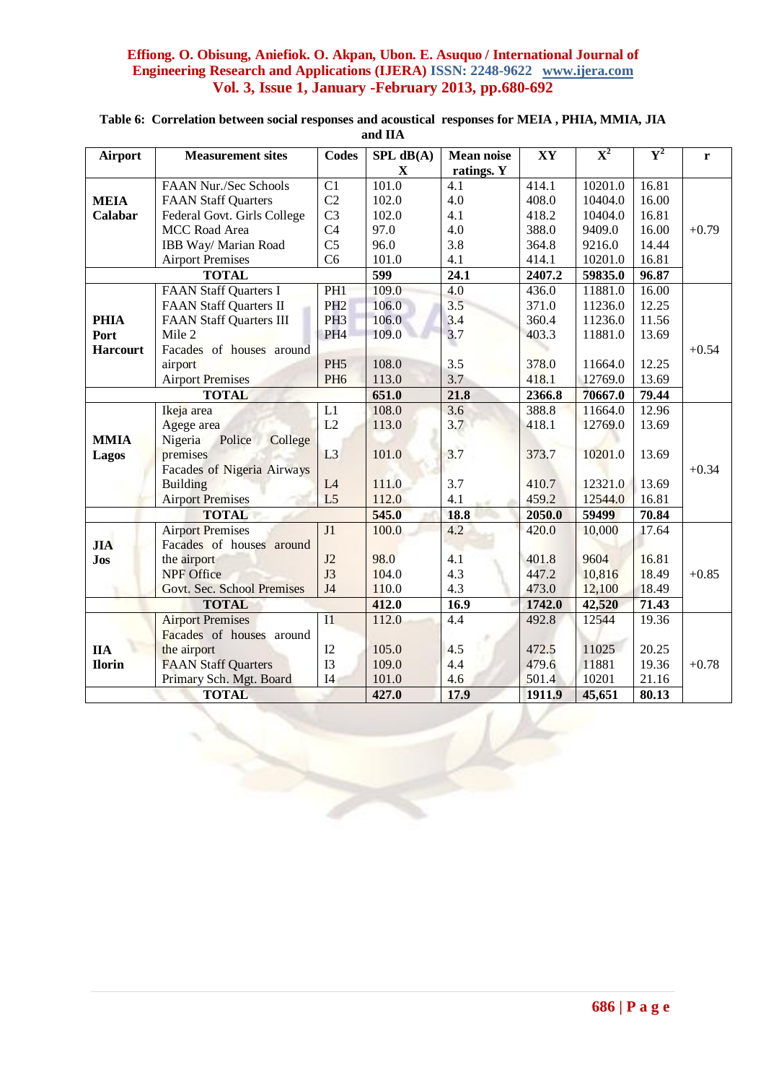|                 |                                   | <b>Codes</b>    |                  |                   | XY     | $\overline{\mathbf{X}}^2$ | ${\bf Y}^2$ |         |
|-----------------|-----------------------------------|-----------------|------------------|-------------------|--------|---------------------------|-------------|---------|
| <b>Airport</b>  | <b>Measurement sites</b>          |                 | SPL dB(A)        | <b>Mean noise</b> |        |                           |             | r       |
|                 |                                   |                 | $\mathbf X$      | ratings. Y        |        |                           |             |         |
|                 | FAAN Nur./Sec Schools             | C1              | 101.0            | 4.1               | 414.1  | 10201.0                   | 16.81       |         |
| <b>MEIA</b>     | <b>FAAN Staff Quarters</b>        | C <sub>2</sub>  | 102.0            | 4.0               | 408.0  | 10404.0                   | 16.00       |         |
| Calabar         | Federal Govt. Girls College       | C <sub>3</sub>  | 102.0            | 4.1               | 418.2  | 10404.0                   | 16.81       |         |
|                 | MCC Road Area                     | C <sub>4</sub>  | 97.0             | 4.0               | 388.0  | 9409.0                    | 16.00       | $+0.79$ |
|                 | IBB Way/ Marian Road              | C <sub>5</sub>  | 96.0             | 3.8               | 364.8  | 9216.0                    | 14.44       |         |
|                 | <b>Airport Premises</b>           | C6              | 101.0            | 4.1               | 414.1  | 10201.0                   | 16.81       |         |
|                 | <b>TOTAL</b>                      |                 | $\overline{599}$ | 24.1              | 2407.2 | 59835.0                   | 96.87       |         |
|                 | <b>FAAN Staff Quarters I</b>      | PH1             | 109.0            | 4.0               | 436.0  | 11881.0                   | 16.00       |         |
|                 | <b>FAAN Staff Quarters II</b>     | PH <sub>2</sub> | 106.0            | 3.5               | 371.0  | 11236.0                   | 12.25       |         |
| <b>PHIA</b>     | <b>FAAN Staff Quarters III</b>    | PH <sub>3</sub> | 106.0            | 3.4               | 360.4  | 11236.0                   | 11.56       |         |
| Port            | Mile 2                            | PH <sub>4</sub> | 109.0            | 3.7               | 403.3  | 11881.0                   | 13.69       |         |
| <b>Harcourt</b> | Facades of houses around          |                 |                  |                   |        |                           |             | $+0.54$ |
|                 | airport                           | PH <sub>5</sub> | 108.0            | 3.5               | 378.0  | 11664.0                   | 12.25       |         |
|                 | <b>Airport Premises</b>           | PH <sub>6</sub> | 113.0            | 3.7               | 418.1  | 12769.0                   | 13.69       |         |
|                 | <b>TOTAL</b>                      |                 | 651.0            | 21.8              | 2366.8 | 70667.0                   | 79.44       |         |
|                 | Ikeja area                        | L1              | 108.0            | 3.6               | 388.8  | 11664.0                   | 12.96       |         |
|                 | Agege area                        | L2              | 113.0            | 3.7               | 418.1  | 12769.0                   | 13.69       |         |
| <b>MMIA</b>     | Police<br>Nigeria<br>College      |                 |                  |                   |        |                           |             |         |
| Lagos           | premises                          | L3              | 101.0            | 3.7               | 373.7  | 10201.0                   | 13.69       |         |
|                 | <b>Facades of Nigeria Airways</b> |                 |                  |                   |        |                           |             | $+0.34$ |
|                 | <b>Building</b>                   | L4              | 111.0            | 3.7               | 410.7  | 12321.0                   | 13.69       |         |
|                 | <b>Airport Premises</b>           | L <sub>5</sub>  | 112.0            | 4.1               | 459.2  | 12544.0                   | 16.81       |         |
|                 | <b>TOTAL</b>                      |                 | 545.0            | 18.8              | 2050.0 | 59499                     | 70.84       |         |
|                 | <b>Airport Premises</b>           | J1              | 100.0            | 4.2               | 420.0  | 10,000                    | 17.64       |         |
| <b>JIA</b>      | Facades of houses around          |                 |                  |                   |        |                           |             |         |
| <b>Jos</b>      | the airport                       | J2              | 98.0             | 4.1               | 401.8  | 9604                      | 16.81       |         |
|                 | <b>NPF</b> Office                 | J3              | 104.0            | 4.3               | 447.2  | 10,816                    | 18.49       | $+0.85$ |
|                 | Govt. Sec. School Premises        | J <sub>4</sub>  | 110.0            | 4.3               | 473.0  | 12,100                    | 18.49       |         |
|                 | <b>TOTAL</b>                      |                 | 412.0            | 16.9              | 1742.0 | 42,520                    | 71.43       |         |
|                 | <b>Airport Premises</b>           | $\overline{11}$ | 112.0            | 4.4               | 492.8  | 12544                     | 19.36       |         |
|                 | Facades of houses around          |                 |                  |                   |        |                           |             |         |
| <b>IIA</b>      | the airport                       | I2              | 105.0            | 4.5               | 472.5  | 11025                     | 20.25       |         |
| <b>Ilorin</b>   | <b>FAAN Staff Quarters</b>        | I3              | 109.0            | 4.4               | 479.6  | 11881                     | 19.36       | $+0.78$ |
|                 | Primary Sch. Mgt. Board           | I <sub>4</sub>  | 101.0            | 4.6               | 501.4  | 10201                     | 21.16       |         |
|                 | <b>TOTAL</b>                      |                 | 427.0            | 17.9              | 1911.9 |                           | 80.13       |         |
|                 |                                   |                 |                  |                   |        | 45,651                    |             |         |

## **Table 6: Correlation between social responses and acoustical responses for MEIA , PHIA, MMIA, JIA and IIA**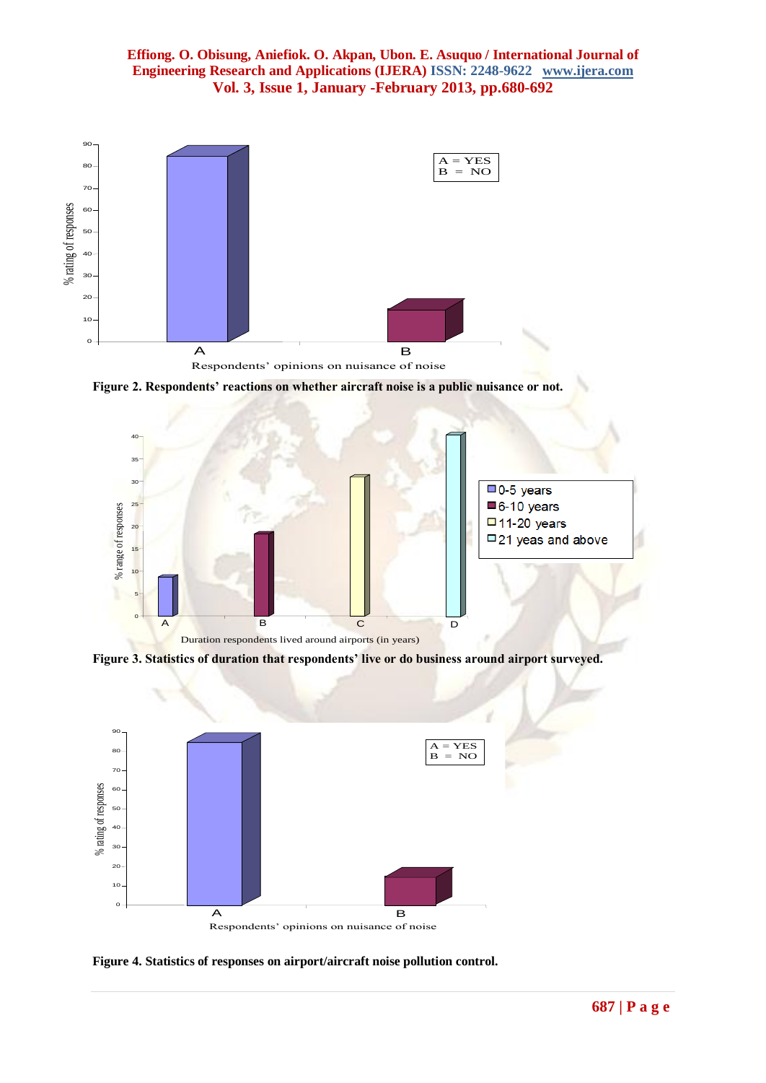

**Figure 2. Respondents' reactions on whether aircraft noise is a public nuisance or not.**



**Figure 3. Statistics of duration that respondents' live or do business around airport surveyed.**



**Figure 4. Statistics of responses on airport/aircraft noise pollution control.**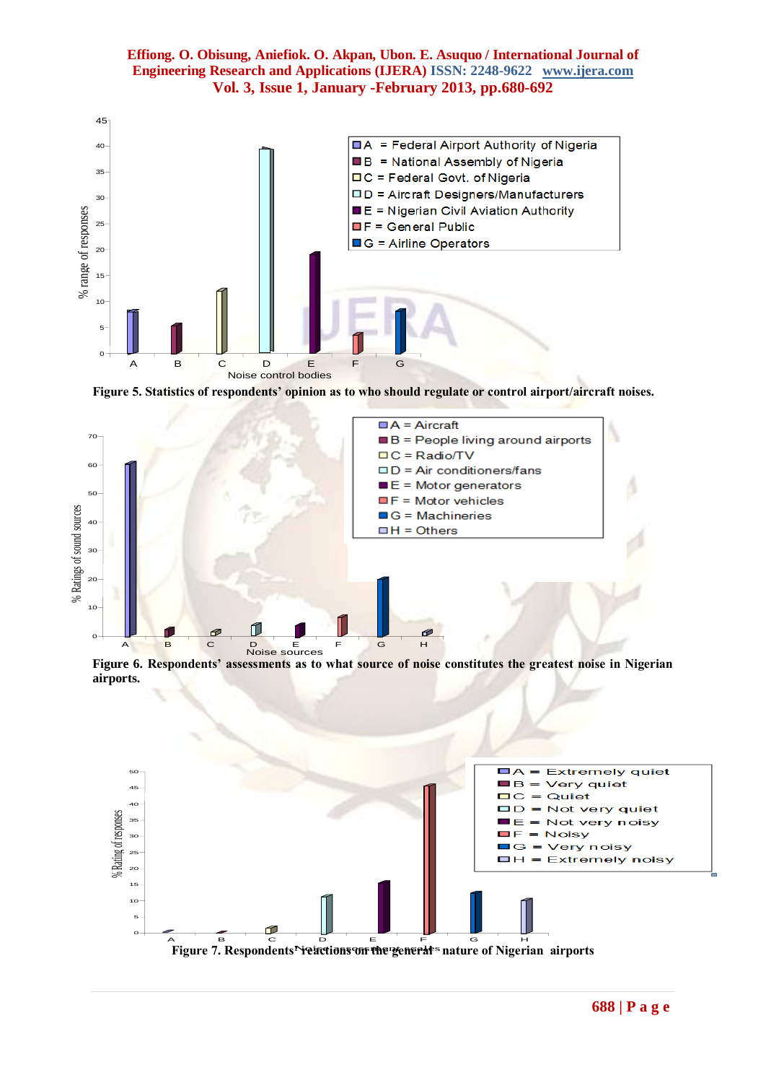

**Figure 5. Statistics of respondents' opinion as to who should regulate or control airport/aircraft noises.**



**Figure 6. Respondents' assessments as to what source of noise constitutes the greatest noise in Nigerian airports.**

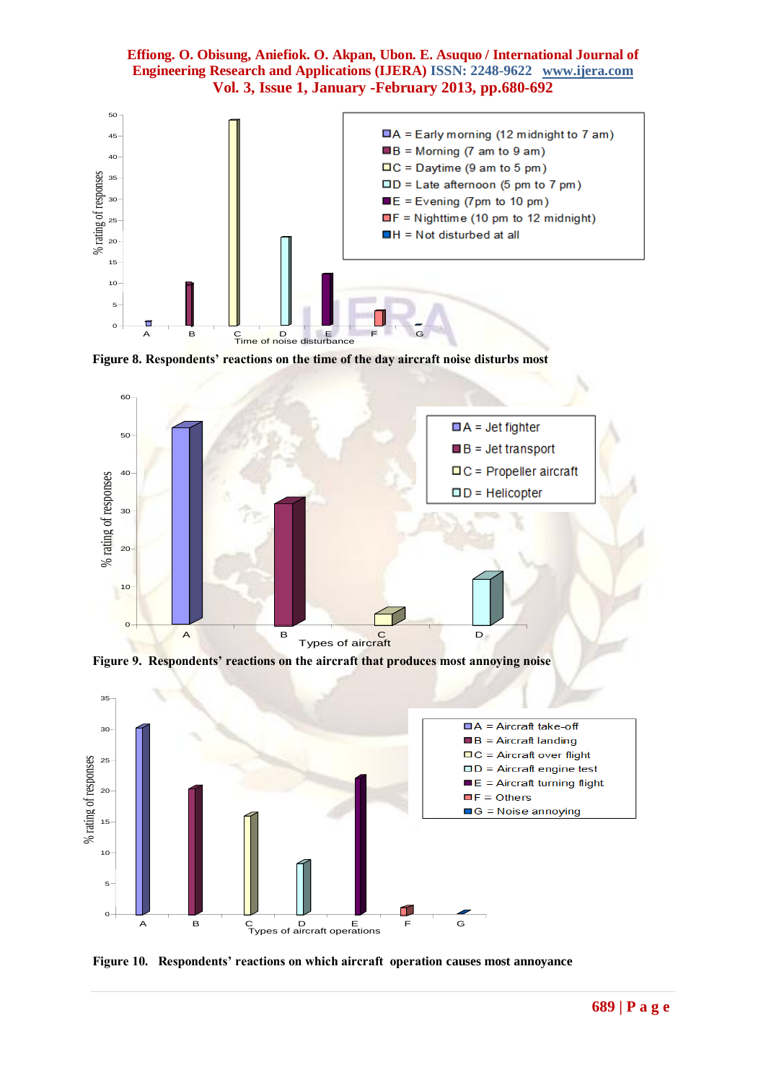

**Figure 8. Respondents' reactions on the time of the day aircraft noise disturbs most**



**Figure 9. Respondents' reactions on the aircraft that produces most annoying noise**



**Figure 10. Respondents' reactions on which aircraft operation causes most annoyance**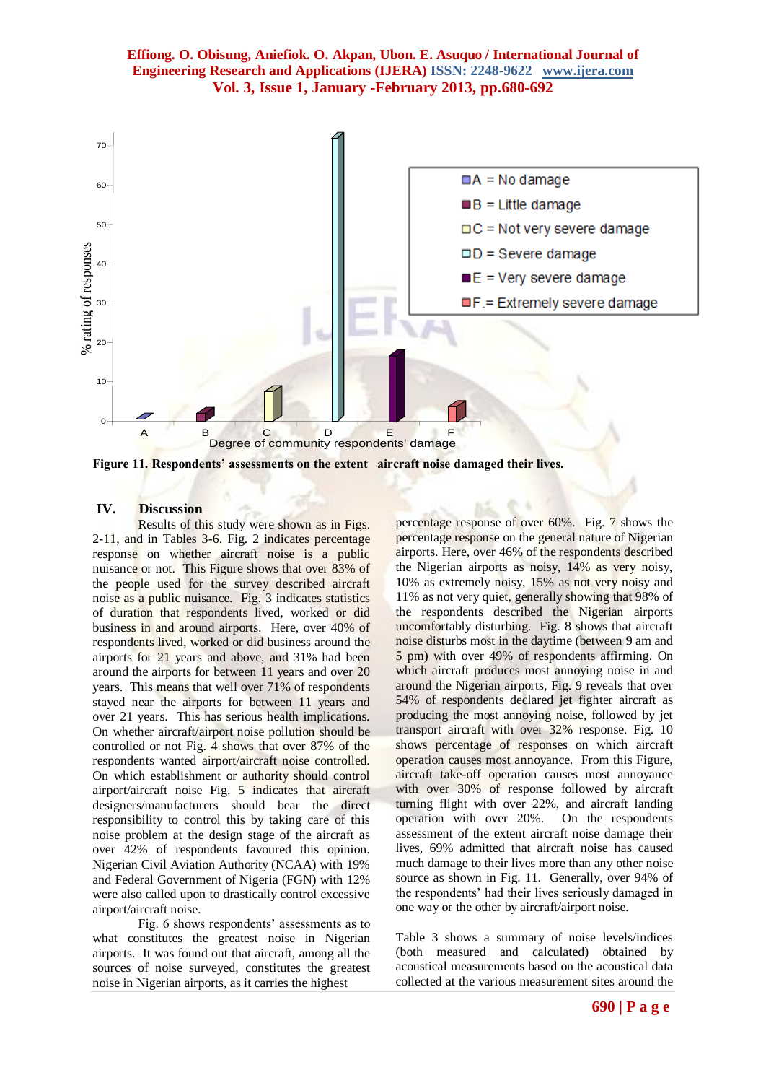

**Figure 11. Respondents' assessments on the extent aircraft noise damaged their lives.**

### **IV. Discussion**

Results of this study were shown as in Figs. 2-11, and in Tables 3-6. Fig. 2 indicates percentage response on whether aircraft noise is a public nuisance or not. This Figure shows that over 83% of the people used for the survey described aircraft noise as a public nuisance. Fig. 3 indicates statistics of duration that respondents lived, worked or did business in and around airports. Here, over 40% of respondents lived, worked or did business around the airports for 21 years and above, and 31% had been around the airports for between 11 years and over 20 years. This means that well over 71% of respondents stayed near the airports for between 11 years and over 21 years. This has serious health implications. On whether aircraft/airport noise pollution should be controlled or not Fig. 4 shows that over 87% of the respondents wanted airport/aircraft noise controlled. On which establishment or authority should control airport/aircraft noise Fig. 5 indicates that aircraft designers/manufacturers should bear the direct responsibility to control this by taking care of this noise problem at the design stage of the aircraft as over 42% of respondents favoured this opinion. Nigerian Civil Aviation Authority (NCAA) with 19% and Federal Government of Nigeria (FGN) with 12% were also called upon to drastically control excessive airport/aircraft noise.

Fig. 6 shows respondents' assessments as to what constitutes the greatest noise in Nigerian airports. It was found out that aircraft, among all the sources of noise surveyed, constitutes the greatest noise in Nigerian airports, as it carries the highest

percentage response of over 60%. Fig. 7 shows the percentage response on the general nature of Nigerian airports. Here, over 46% of the respondents described the Nigerian airports as noisy, 14% as very noisy, 10% as extremely noisy, 15% as not very noisy and 11% as not very quiet, generally showing that 98% of the respondents described the Nigerian airports uncomfortably disturbing. Fig. 8 shows that aircraft noise disturbs most in the daytime (between 9 am and 5 pm) with over 49% of respondents affirming. On which aircraft produces most annoying noise in and around the Nigerian airports, Fig. 9 reveals that over 54% of respondents declared jet fighter aircraft as producing the most annoying noise, followed by jet transport aircraft with over 32% response. Fig. 10 shows percentage of responses on which aircraft operation causes most annoyance. From this Figure, aircraft take-off operation causes most annoyance with over 30% of response followed by aircraft turning flight with over 22%, and aircraft landing operation with over 20%. On the respondents assessment of the extent aircraft noise damage their lives, 69% admitted that aircraft noise has caused much damage to their lives more than any other noise source as shown in Fig. 11. Generally, over 94% of the respondents' had their lives seriously damaged in one way or the other by aircraft/airport noise.

Table 3 shows a summary of noise levels/indices (both measured and calculated) obtained by acoustical measurements based on the acoustical data collected at the various measurement sites around the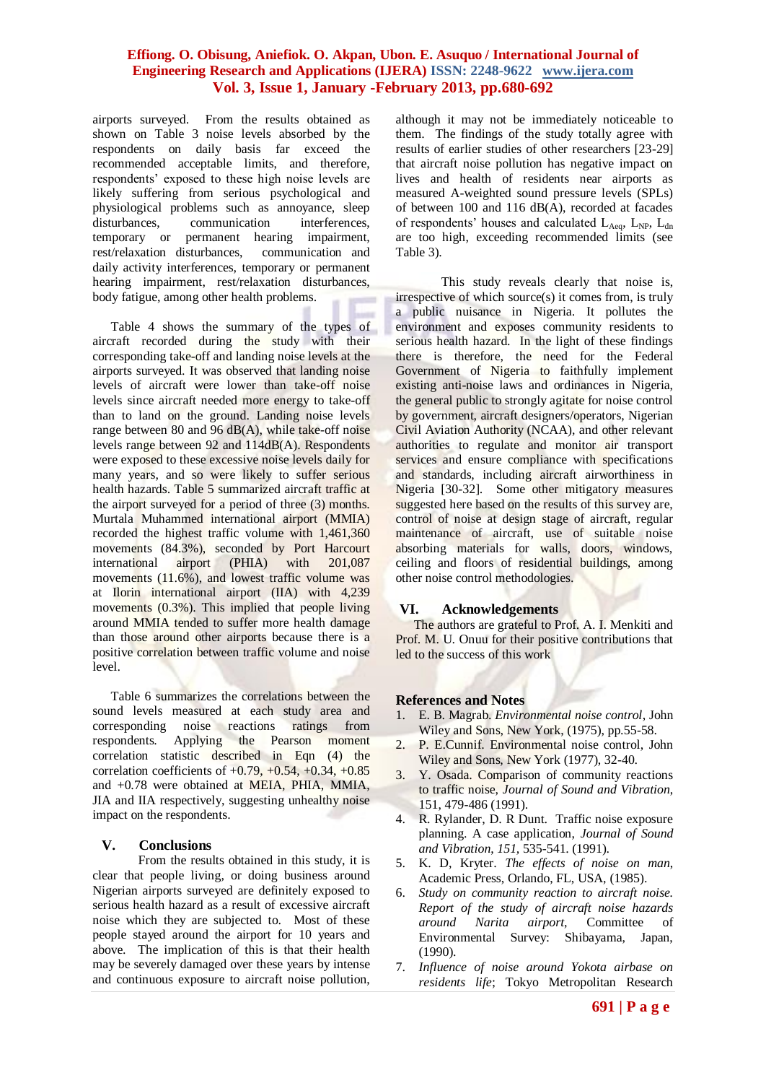airports surveyed. From the results obtained as shown on Table 3 noise levels absorbed by the respondents on daily basis far exceed the recommended acceptable limits, and therefore, respondents' exposed to these high noise levels are likely suffering from serious psychological and physiological problems such as annoyance, sleep disturbances, communication interferences, temporary or permanent hearing impairment, rest/relaxation disturbances, communication and daily activity interferences, temporary or permanent hearing impairment, rest/relaxation disturbances, body fatigue, among other health problems.

Table 4 shows the summary of the types of aircraft recorded during the study with their corresponding take-off and landing noise levels at the airports surveyed. It was observed that landing noise levels of aircraft were lower than take-off noise levels since aircraft needed more energy to take-off than to land on the ground. Landing noise levels range between 80 and 96 dB(A), while take-off noise levels range between 92 and 114dB(A). Respondents were exposed to these excessive noise levels daily for many years, and so were likely to suffer serious health hazards. Table 5 summarized aircraft traffic at the airport surveyed for a period of three (3) months. Murtala Muhammed international airport (MMIA) recorded the highest traffic volume with 1,461,360 movements (84.3%), seconded by Port Harcourt international airport (PHIA) with 201,087 movements (11.6%), and lowest traffic volume was at Ilorin international airport (IIA) with 4,239 movements (0.3%). This implied that people living around MMIA tended to suffer more health damage than those around other airports because there is a positive correlation between traffic volume and noise level.

Table 6 summarizes the correlations between the sound levels measured at each study area and corresponding noise reactions ratings from respondents. Applying the Pearson moment correlation statistic described in Eqn (4) the correlation coefficients of  $+0.79, +0.54, +0.34, +0.85$ and +0.78 were obtained at MEIA, PHIA, MMIA, JIA and IIA respectively, suggesting unhealthy noise impact on the respondents.

#### **V. Conclusions**

From the results obtained in this study, it is clear that people living, or doing business around Nigerian airports surveyed are definitely exposed to serious health hazard as a result of excessive aircraft noise which they are subjected to. Most of these people stayed around the airport for 10 years and above. The implication of this is that their health may be severely damaged over these years by intense and continuous exposure to aircraft noise pollution,

although it may not be immediately noticeable to them. The findings of the study totally agree with results of earlier studies of other researchers [23-29] that aircraft noise pollution has negative impact on lives and health of residents near airports as measured A-weighted sound pressure levels (SPLs) of between 100 and 116 dB(A), recorded at facades of respondents' houses and calculated  $L_{Aeq}$ ,  $L_{NP}$ ,  $L_{dn}$ are too high, exceeding recommended limits (see Table 3).

This study reveals clearly that noise is, irrespective of which source(s) it comes from, is truly a public nuisance in Nigeria. It pollutes the environment and exposes community residents to serious health hazard. In the light of these findings there is therefore, the need for the Federal Government of Nigeria to faithfully implement existing anti-noise laws and ordinances in Nigeria, the general public to strongly agitate for noise control by government, aircraft designers/operators, Nigerian Civil Aviation Authority (NCAA), and other relevant authorities to regulate and monitor air transport services and ensure compliance with specifications and standards, including aircraft airworthiness in Nigeria [30-32]. Some other mitigatory measures suggested here based on the results of this survey are, control of noise at design stage of aircraft, regular maintenance of aircraft, use of suitable noise absorbing materials for walls, doors, windows, ceiling and floors of residential buildings, among other noise control methodologies.

#### **VI. Acknowledgements**

The authors are grateful to Prof. A. I. Menkiti and Prof. M. U. Onuu for their positive contributions that led to the success of this work

#### **References and Notes**

- 1. E. B. Magrab. *Environmental noise control*, John Wiley and Sons, New York, (1975), pp.55-58.
- 2. P. E.Cunnif. Environmental noise control, John Wiley and Sons, New York (1977), 32-40.
- 3. Y. Osada. Comparison of community reactions to traffic noise, *Journal of Sound and Vibration*, 151, 479-486 (1991).
- 4. R. Rylander, D. R Dunt. Traffic noise exposure planning. A case application, *Journal of Sound and Vibration*, *151,* 535-541. (1991).
- 5. K. D, Kryter. *The effects of noise on man*, Academic Press, Orlando, FL, USA, (1985).
- 6. *Study on community reaction to aircraft noise. Report of the study of aircraft noise hazards around Narita airport*, Committee of Environmental Survey: Shibayama, Japan, (1990).
- 7. *Influence of noise around Yokota airbase on residents life*; Tokyo Metropolitan Research